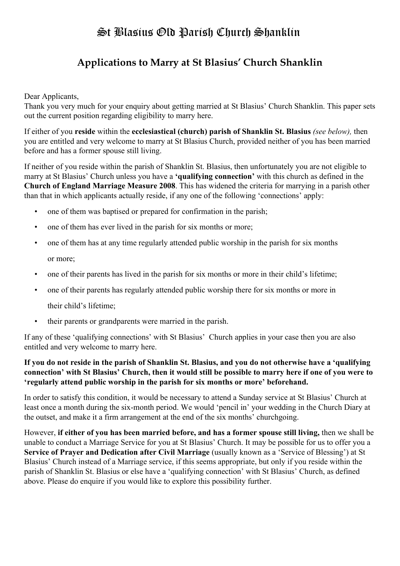## **Applications to Marry at St Blasius' Church Shanklin**

### Dear Applicants,

Thank you very much for your enquiry about getting married at St Blasius' Church Shanklin. This paper sets out the current position regarding eligibility to marry here.

If either of you **reside** within the **ecclesiastical (church) parish of Shanklin St. Blasius** *(see below),* then you are entitled and very welcome to marry at St Blasius Church, provided neither of you has been married before and has a former spouse still living.

If neither of you reside within the parish of Shanklin St. Blasius, then unfortunately you are not eligible to marry at St Blasius' Church unless you have a **'qualifying connection'** with this church as defined in the **Church of England Marriage Measure 2008**. This has widened the criteria for marrying in a parish other than that in which applicants actually reside, if any one of the following 'connections' apply:

- one of them was baptised or prepared for confirmation in the parish;
- one of them has ever lived in the parish for six months or more;
- one of them has at any time regularly attended public worship in the parish for six months or more;
- one of their parents has lived in the parish for six months or more in their child's lifetime;
- one of their parents has regularly attended public worship there for six months or more in
	- their child's lifetime;
- their parents or grandparents were married in the parish.

If any of these 'qualifying connections' with St Blasius' Church applies in your case then you are also entitled and very welcome to marry here.

### **If you do not reside in the parish of Shanklin St. Blasius, and you do not otherwise have a 'qualifying connection' with St Blasius' Church, then it would still be possible to marry here if one of you were to 'regularly attend public worship in the parish for six months or more' beforehand.**

In order to satisfy this condition, it would be necessary to attend a Sunday service at St Blasius' Church at least once a month during the six-month period. We would 'pencil in' your wedding in the Church Diary at the outset, and make it a firm arrangement at the end of the six months' churchgoing.

However, **if either of you has been married before, and has a former spouse still living,** then we shall be unable to conduct a Marriage Service for you at St Blasius' Church. It may be possible for us to offer you a **Service of Prayer and Dedication after Civil Marriage** (usually known as a 'Service of Blessing') at St Blasius' Church instead of a Marriage service, if this seems appropriate, but only if you reside within the parish of Shanklin St. Blasius or else have a 'qualifying connection' with St Blasius' Church, as defined above. Please do enquire if you would like to explore this possibility further.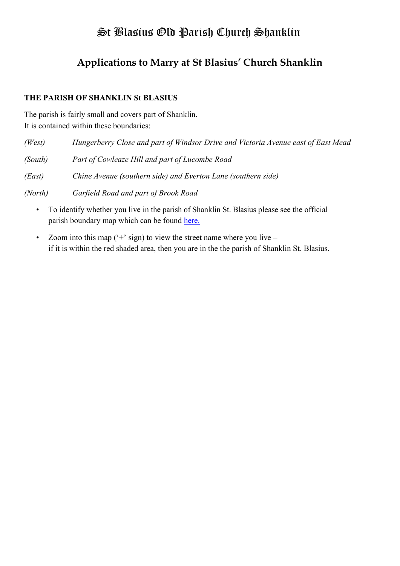## **Applications to Marry at St Blasius' Church Shanklin**

### **THE PARISH OF SHANKLIN St BLASIUS**

The parish is fairly small and covers part of Shanklin. It is contained within these boundaries:

| (West)  | Hungerberry Close and part of Windsor Drive and Victoria Avenue east of East Mead |
|---------|-----------------------------------------------------------------------------------|
| (South) | Part of Cowleaze Hill and part of Lucombe Road                                    |
| (East)  | Chine Avenue (southern side) and Everton Lane (southern side)                     |
| (North) | Garfield Road and part of Brook Road                                              |

- To identify whether you live in the parish of Shanklin St. Blasius please see the official parish boundary map which can be found [here.](https://www.achurchnearyou.com/search/?lat=50.6210543&lon=-1.1831816999999774&place=ChIJN2TrRsWLdEgRbVPBptv22So&text=)
- Zoom into this map  $(4)$  sign) to view the street name where you live if it is within the red shaded area, then you are in the the parish of Shanklin St. Blasius.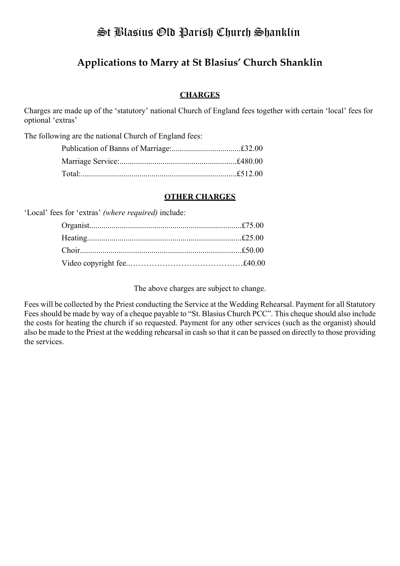### **Applications to Marry at St Blasius' Church Shanklin**

### **CHARGES**

Charges are made up of the 'statutory' national Church of England fees together with certain 'local' fees for optional 'extras'

The following are the national Church of England fees:

#### **OTHER CHARGES**

'Local' fees for 'extras' *(where required)* include:

The above charges are subject to change.

Fees will be collected by the Priest conducting the Service at the Wedding Rehearsal. Payment for all Statutory Fees should be made by way of a cheque payable to "St. Blasius Church PCC". This cheque should also include the costs for heating the church if so requested. Payment for any other services (such as the organist) should also be made to the Priest at the wedding rehearsal in cash so that it can be passed on directly to those providing the services.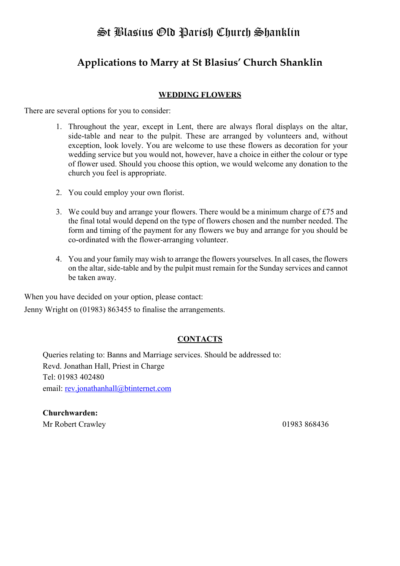## **Applications to Marry at St Blasius' Church Shanklin**

### **WEDDING FLOWERS**

There are several options for you to consider:

- 1. Throughout the year, except in Lent, there are always floral displays on the altar, side-table and near to the pulpit. These are arranged by volunteers and, without exception, look lovely. You are welcome to use these flowers as decoration for your wedding service but you would not, however, have a choice in either the colour or type of flower used. Should you choose this option, we would welcome any donation to the church you feel is appropriate.
- 2. You could employ your own florist.
- 3. We could buy and arrange your flowers. There would be a minimum charge of £75 and the final total would depend on the type of flowers chosen and the number needed. The form and timing of the payment for any flowers we buy and arrange for you should be co-ordinated with the flower-arranging volunteer.
- 4. You and your family may wish to arrange the flowers yourselves. In all cases, the flowers on the altar, side-table and by the pulpit must remain for the Sunday services and cannot be taken away.

When you have decided on your option, please contact:

Jenny Wright on (01983) 863455 to finalise the arrangements.

### **CONTACTS**

Queries relating to: Banns and Marriage services. Should be addressed to: Revd. Jonathan Hall, Priest in Charge Tel: 01983 402480 email: [rev.jonathanhall@btinternet.com](mailto:rev.jonathanhall@btinternet.com)

**Churchwarden:** Mr Robert Crawley 01983 868436